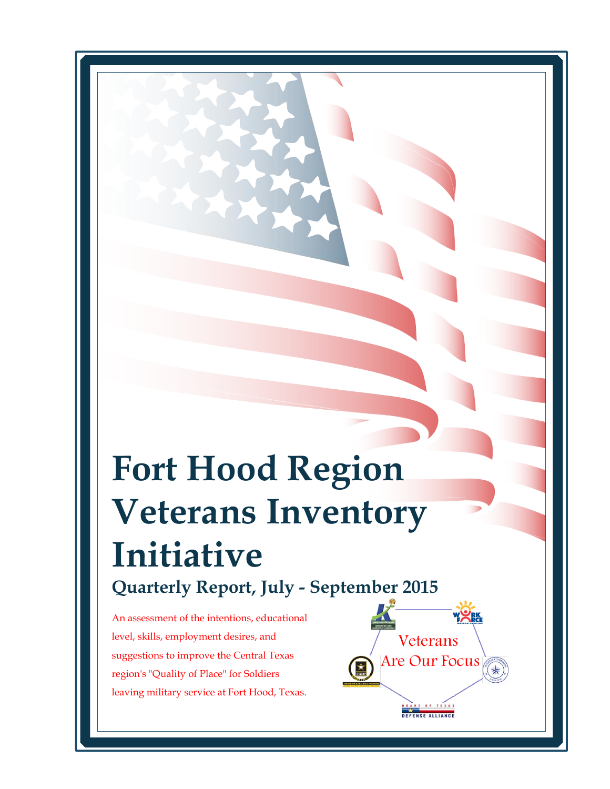# **Fort Hood Region Veterans Inventory Initiative Quarterly Report, July - September 2015**

 leaving military service at Fort Hood, Texas.An assessment of the intentions, educational level, skills, employment desires, and suggestions to improve the Central Texas region's "Quality of Place" for Soldiers

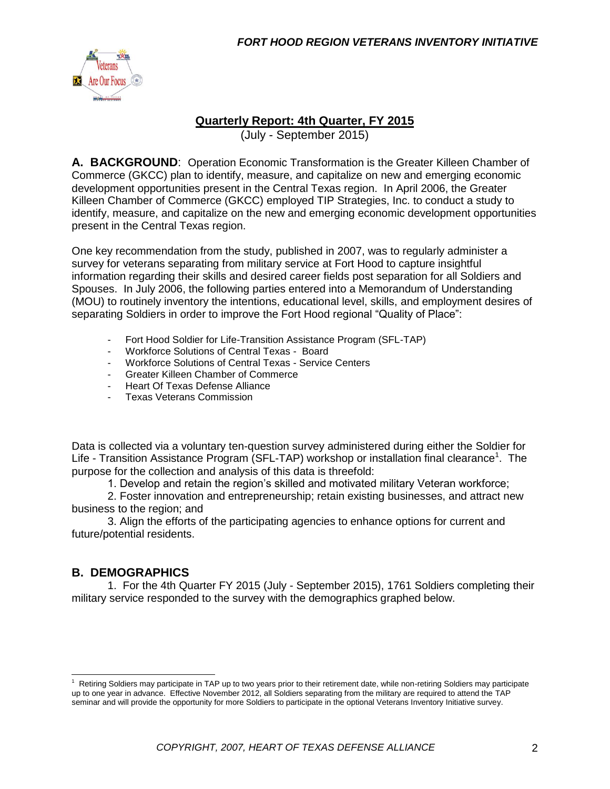

#### **Quarterly Report: 4th Quarter, FY 2015**

(July - September 2015)

**A. BACKGROUND**: Operation Economic Transformation is the Greater Killeen Chamber of Commerce (GKCC) plan to identify, measure, and capitalize on new and emerging economic development opportunities present in the Central Texas region. In April 2006, the Greater Killeen Chamber of Commerce (GKCC) employed TIP Strategies, Inc. to conduct a study to identify, measure, and capitalize on the new and emerging economic development opportunities present in the Central Texas region.

One key recommendation from the study, published in 2007, was to regularly administer a survey for veterans separating from military service at Fort Hood to capture insightful information regarding their skills and desired career fields post separation for all Soldiers and Spouses. In July 2006, the following parties entered into a Memorandum of Understanding (MOU) to routinely inventory the intentions, educational level, skills, and employment desires of separating Soldiers in order to improve the Fort Hood regional "Quality of Place":

- Fort Hood Soldier for Life-Transition Assistance Program (SFL-TAP)
- Workforce Solutions of Central Texas Board
- Workforce Solutions of Central Texas Service Centers
- Greater Killeen Chamber of Commerce
- Heart Of Texas Defense Alliance
- Texas Veterans Commission

Data is collected via a voluntary ten-question survey administered during either the Soldier for Life - Transition Assistance Program (SFL-TAP) workshop or installation final clearance<sup>1</sup>. The purpose for the collection and analysis of this data is threefold:

1. Develop and retain the region's skilled and motivated military Veteran workforce;

2. Foster innovation and entrepreneurship; retain existing businesses, and attract new business to the region; and

3. Align the efforts of the participating agencies to enhance options for current and future/potential residents.

#### **B. DEMOGRAPHICS**

1. For the 4th Quarter FY 2015 (July - September 2015), 1761 Soldiers completing their military service responded to the survey with the demographics graphed below.

 $1$  Retiring Soldiers may participate in TAP up to two years prior to their retirement date, while non-retiring Soldiers may participate up to one year in advance. Effective November 2012, all Soldiers separating from the military are required to attend the TAP seminar and will provide the opportunity for more Soldiers to participate in the optional Veterans Inventory Initiative survey.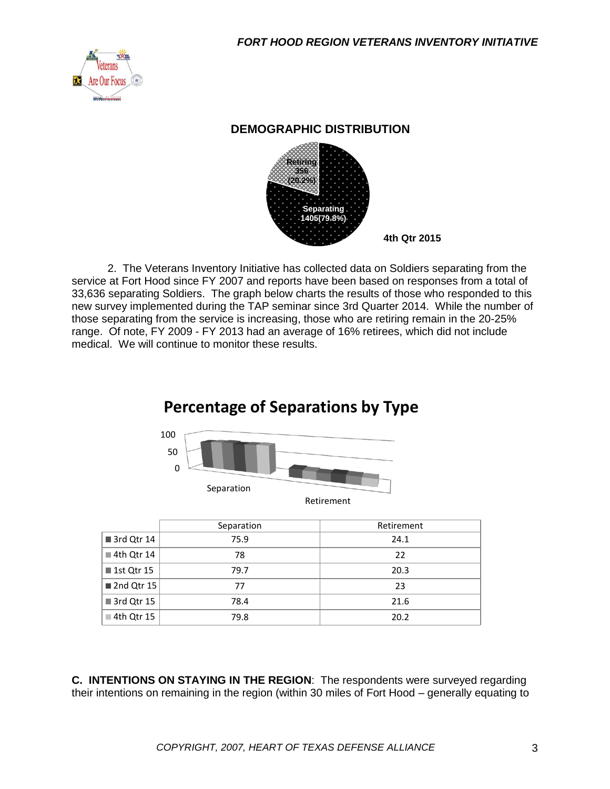

#### **DEMOGRAPHIC DISTRIBUTION**



2. The Veterans Inventory Initiative has collected data on Soldiers separating from the service at Fort Hood since FY 2007 and reports have been based on responses from a total of 33,636 separating Soldiers. The graph below charts the results of those who responded to this new survey implemented during the TAP seminar since 3rd Quarter 2014. While the number of those separating from the service is increasing, those who are retiring remain in the 20-25% range. Of note, FY 2009 - FY 2013 had an average of 16% retirees, which did not include medical. We will continue to monitor these results.



|                           | Separation | Retirement |
|---------------------------|------------|------------|
| $\blacksquare$ 3rd Qtr 14 | 75.9       | 24.1       |
| $\blacksquare$ 4th Qtr 14 | 78         | 22         |
| <b>1st Qtr 15</b>         | 79.7       | 20.3       |
| 2nd Qtr 15                | 77         | 23         |
| $\blacksquare$ 3rd Qtr 15 | 78.4       | 21.6       |
| ■ 4th Qtr 15              | 79.8       | 20.2       |

**C. INTENTIONS ON STAYING IN THE REGION**: The respondents were surveyed regarding their intentions on remaining in the region (within 30 miles of Fort Hood – generally equating to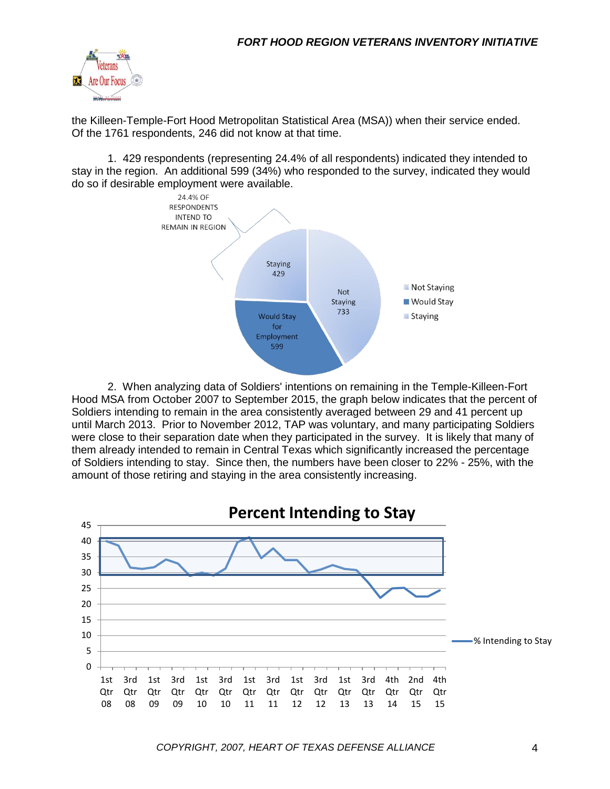

the Killeen-Temple-Fort Hood Metropolitan Statistical Area (MSA)) when their service ended. Of the 1761 respondents, 246 did not know at that time.

1. 429 respondents (representing 24.4% of all respondents) indicated they intended to stay in the region. An additional 599 (34%) who responded to the survey, indicated they would do so if desirable employment were available.



2. When analyzing data of Soldiers' intentions on remaining in the Temple-Killeen-Fort Hood MSA from October 2007 to September 2015, the graph below indicates that the percent of Soldiers intending to remain in the area consistently averaged between 29 and 41 percent up until March 2013. Prior to November 2012, TAP was voluntary, and many participating Soldiers were close to their separation date when they participated in the survey. It is likely that many of them already intended to remain in Central Texas which significantly increased the percentage of Soldiers intending to stay. Since then, the numbers have been closer to 22% - 25%, with the amount of those retiring and staying in the area consistently increasing.

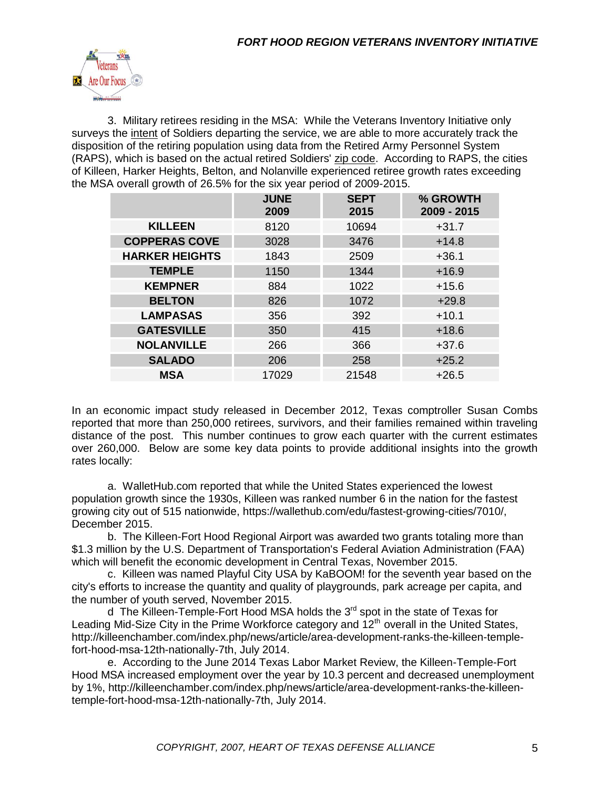

3. Military retirees residing in the MSA: While the Veterans Inventory Initiative only surveys the intent of Soldiers departing the service, we are able to more accurately track the disposition of the retiring population using data from the Retired Army Personnel System (RAPS), which is based on the actual retired Soldiers' zip code. According to RAPS, the cities of Killeen, Harker Heights, Belton, and Nolanville experienced retiree growth rates exceeding the MSA overall growth of 26.5% for the six year period of 2009-2015.

| <b>KILLEEN</b><br>8120<br>10694<br>$+31.7$<br><b>COPPERAS COVE</b><br>3028<br>3476<br>$+14.8$<br><b>HARKER HEIGHTS</b><br>1843<br>2509<br>$+36.1$<br><b>TEMPLE</b><br>1150<br>1344<br>$+16.9$<br>1022<br><b>KEMPNER</b><br>884<br>$+15.6$<br><b>BELTON</b><br>1072<br>$+29.8$<br>826<br><b>LAMPASAS</b><br>356<br>392<br>$+10.1$<br><b>GATESVILLE</b><br>415<br>350<br>$+18.6$<br><b>NOLANVILLE</b><br>266<br>366<br>$+37.6$<br><b>SALADO</b><br>206<br>258<br>$+25.2$<br><b>MSA</b><br>17029<br>21548<br>$+26.5$ | <b>JUNE</b><br>2009 | <b>SEPT</b><br>2015 | % GROWTH<br>2009 - 2015 |
|-------------------------------------------------------------------------------------------------------------------------------------------------------------------------------------------------------------------------------------------------------------------------------------------------------------------------------------------------------------------------------------------------------------------------------------------------------------------------------------------------------------------|---------------------|---------------------|-------------------------|
|                                                                                                                                                                                                                                                                                                                                                                                                                                                                                                                   |                     |                     |                         |
|                                                                                                                                                                                                                                                                                                                                                                                                                                                                                                                   |                     |                     |                         |
|                                                                                                                                                                                                                                                                                                                                                                                                                                                                                                                   |                     |                     |                         |
|                                                                                                                                                                                                                                                                                                                                                                                                                                                                                                                   |                     |                     |                         |
|                                                                                                                                                                                                                                                                                                                                                                                                                                                                                                                   |                     |                     |                         |
|                                                                                                                                                                                                                                                                                                                                                                                                                                                                                                                   |                     |                     |                         |
|                                                                                                                                                                                                                                                                                                                                                                                                                                                                                                                   |                     |                     |                         |
|                                                                                                                                                                                                                                                                                                                                                                                                                                                                                                                   |                     |                     |                         |
|                                                                                                                                                                                                                                                                                                                                                                                                                                                                                                                   |                     |                     |                         |
|                                                                                                                                                                                                                                                                                                                                                                                                                                                                                                                   |                     |                     |                         |
|                                                                                                                                                                                                                                                                                                                                                                                                                                                                                                                   |                     |                     |                         |

In an economic impact study released in December 2012, Texas comptroller Susan Combs reported that more than 250,000 retirees, survivors, and their families remained within traveling distance of the post. This number continues to grow each quarter with the current estimates over 260,000. Below are some key data points to provide additional insights into the growth rates locally:

a. WalletHub.com reported that while the United States experienced the lowest population growth since the 1930s, Killeen was ranked number 6 in the nation for the fastest growing city out of 515 nationwide, https://wallethub.com/edu/fastest-growing-cities/7010/, December 2015.

b. The Killeen-Fort Hood Regional Airport was awarded two grants totaling more than \$1.3 million by the U.S. Department of Transportation's Federal Aviation Administration (FAA) which will benefit the economic development in Central Texas, November 2015.

c. Killeen was named Playful City USA by KaBOOM! for the seventh year based on the city's efforts to increase the quantity and quality of playgrounds, park acreage per capita, and the number of youth served, November 2015.

d The Killeen-Temple-Fort Hood MSA holds the  $3<sup>rd</sup>$  spot in the state of Texas for Leading Mid-Size City in the Prime Workforce category and  $12<sup>th</sup>$  overall in the United States, http://killeenchamber.com/index.php/news/article/area-development-ranks-the-killeen-templefort-hood-msa-12th-nationally-7th, July 2014.

e. According to the June 2014 Texas Labor Market Review, the Killeen-Temple-Fort Hood MSA increased employment over the year by 10.3 percent and decreased unemployment by 1%, http://killeenchamber.com/index.php/news/article/area-development-ranks-the-killeentemple-fort-hood-msa-12th-nationally-7th, July 2014.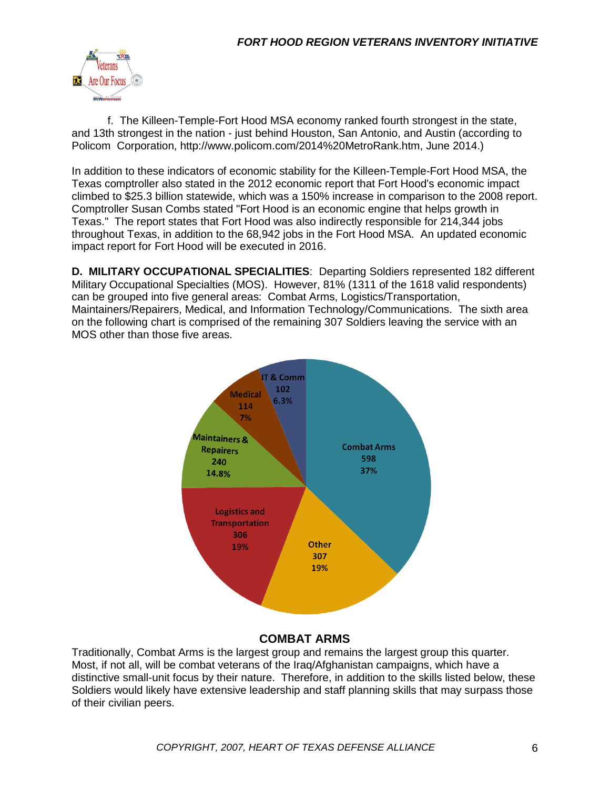

f. The Killeen-Temple-Fort Hood MSA economy ranked fourth strongest in the state, and 13th strongest in the nation - just behind Houston, San Antonio, and Austin (according to Policom Corporation, http://www.policom.com/2014%20MetroRank.htm, June 2014.)

In addition to these indicators of economic stability for the Killeen-Temple-Fort Hood MSA, the Texas comptroller also stated in the 2012 economic report that Fort Hood's economic impact climbed to \$25.3 billion statewide, which was a 150% increase in comparison to the 2008 report. Comptroller Susan Combs stated "Fort Hood is an economic engine that helps growth in Texas." The report states that Fort Hood was also indirectly responsible for 214,344 jobs throughout Texas, in addition to the 68,942 jobs in the Fort Hood MSA. An updated economic impact report for Fort Hood will be executed in 2016.

**D. MILITARY OCCUPATIONAL SPECIALITIES**: Departing Soldiers represented 182 different Military Occupational Specialties (MOS). However, 81% (1311 of the 1618 valid respondents) can be grouped into five general areas: Combat Arms, Logistics/Transportation, Maintainers/Repairers, Medical, and Information Technology/Communications. The sixth area on the following chart is comprised of the remaining 307 Soldiers leaving the service with an MOS other than those five areas.



#### **COMBAT ARMS**

Traditionally, Combat Arms is the largest group and remains the largest group this quarter. Most, if not all, will be combat veterans of the Iraq/Afghanistan campaigns, which have a distinctive small-unit focus by their nature. Therefore, in addition to the skills listed below, these Soldiers would likely have extensive leadership and staff planning skills that may surpass those of their civilian peers.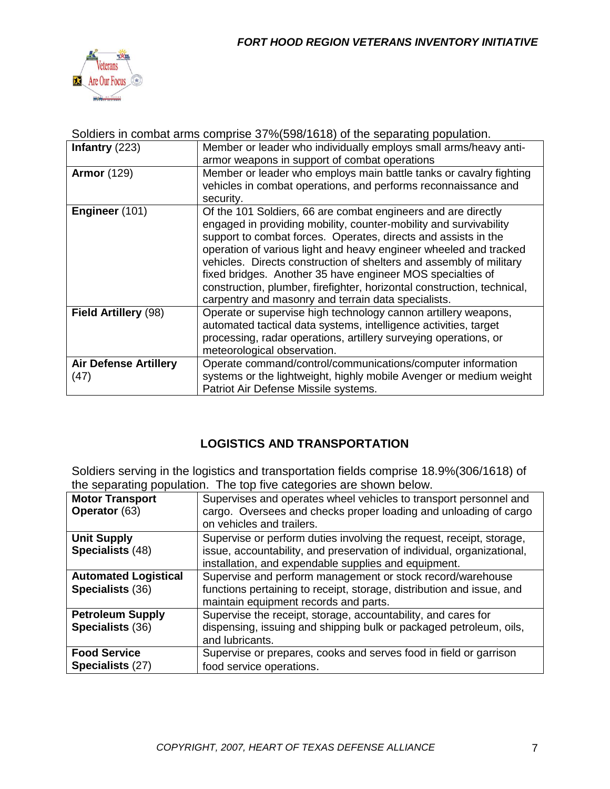

|                              | oudicts in comparating comprise or 70(000/1010) or the separating population.                                                                                                                                                                                                                                                                                                                                                                                                                                                                    |
|------------------------------|--------------------------------------------------------------------------------------------------------------------------------------------------------------------------------------------------------------------------------------------------------------------------------------------------------------------------------------------------------------------------------------------------------------------------------------------------------------------------------------------------------------------------------------------------|
| Infantry $(223)$             | Member or leader who individually employs small arms/heavy anti-                                                                                                                                                                                                                                                                                                                                                                                                                                                                                 |
|                              | armor weapons in support of combat operations                                                                                                                                                                                                                                                                                                                                                                                                                                                                                                    |
| <b>Armor</b> (129)           | Member or leader who employs main battle tanks or cavalry fighting<br>vehicles in combat operations, and performs reconnaissance and<br>security.                                                                                                                                                                                                                                                                                                                                                                                                |
| Engineer (101)               | Of the 101 Soldiers, 66 are combat engineers and are directly<br>engaged in providing mobility, counter-mobility and survivability<br>support to combat forces. Operates, directs and assists in the<br>operation of various light and heavy engineer wheeled and tracked<br>vehicles. Directs construction of shelters and assembly of military<br>fixed bridges. Another 35 have engineer MOS specialties of<br>construction, plumber, firefighter, horizontal construction, technical,<br>carpentry and masonry and terrain data specialists. |
| Field Artillery (98)         | Operate or supervise high technology cannon artillery weapons,<br>automated tactical data systems, intelligence activities, target<br>processing, radar operations, artillery surveying operations, or<br>meteorological observation.                                                                                                                                                                                                                                                                                                            |
| <b>Air Defense Artillery</b> | Operate command/control/communications/computer information                                                                                                                                                                                                                                                                                                                                                                                                                                                                                      |
| (47)                         | systems or the lightweight, highly mobile Avenger or medium weight                                                                                                                                                                                                                                                                                                                                                                                                                                                                               |
|                              | Patriot Air Defense Missile systems.                                                                                                                                                                                                                                                                                                                                                                                                                                                                                                             |
|                              |                                                                                                                                                                                                                                                                                                                                                                                                                                                                                                                                                  |

## Soldiers in combat arms comprise 37%(598/1618) of the separating population.

#### **LOGISTICS AND TRANSPORTATION**

Soldiers serving in the logistics and transportation fields comprise 18.9%(306/1618) of the separating population. The top five categories are shown below.

| <b>Motor Transport</b>      | Supervises and operates wheel vehicles to transport personnel and      |  |  |  |
|-----------------------------|------------------------------------------------------------------------|--|--|--|
| <b>Operator</b> (63)        | cargo. Oversees and checks proper loading and unloading of cargo       |  |  |  |
|                             | on vehicles and trailers.                                              |  |  |  |
| <b>Unit Supply</b>          | Supervise or perform duties involving the request, receipt, storage,   |  |  |  |
| Specialists (48)            | issue, accountability, and preservation of individual, organizational, |  |  |  |
|                             | installation, and expendable supplies and equipment.                   |  |  |  |
| <b>Automated Logistical</b> | Supervise and perform management or stock record/warehouse             |  |  |  |
| Specialists (36)            | functions pertaining to receipt, storage, distribution and issue, and  |  |  |  |
|                             | maintain equipment records and parts.                                  |  |  |  |
| <b>Petroleum Supply</b>     | Supervise the receipt, storage, accountability, and cares for          |  |  |  |
| Specialists (36)            | dispensing, issuing and shipping bulk or packaged petroleum, oils,     |  |  |  |
|                             | and lubricants.                                                        |  |  |  |
| <b>Food Service</b>         | Supervise or prepares, cooks and serves food in field or garrison      |  |  |  |
| Specialists (27)            | food service operations.                                               |  |  |  |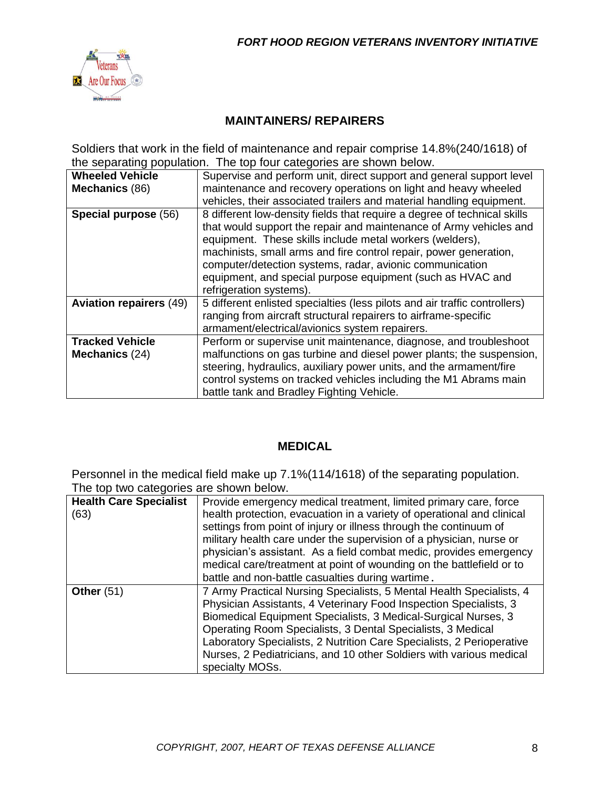

#### **MAINTAINERS/ REPAIRERS**

Soldiers that work in the field of maintenance and repair comprise 14.8%(240/1618) of the separating population. The top four categories are shown below.

| Supervise and perform unit, direct support and general support level       |  |
|----------------------------------------------------------------------------|--|
| maintenance and recovery operations on light and heavy wheeled             |  |
| vehicles, their associated trailers and material handling equipment.       |  |
| 8 different low-density fields that require a degree of technical skills   |  |
| that would support the repair and maintenance of Army vehicles and         |  |
| equipment. These skills include metal workers (welders),                   |  |
| machinists, small arms and fire control repair, power generation,          |  |
| computer/detection systems, radar, avionic communication                   |  |
| equipment, and special purpose equipment (such as HVAC and                 |  |
| refrigeration systems).                                                    |  |
| 5 different enlisted specialties (less pilots and air traffic controllers) |  |
| ranging from aircraft structural repairers to airframe-specific            |  |
| armament/electrical/avionics system repairers.                             |  |
| Perform or supervise unit maintenance, diagnose, and troubleshoot          |  |
| malfunctions on gas turbine and diesel power plants; the suspension,       |  |
| steering, hydraulics, auxiliary power units, and the armament/fire         |  |
| control systems on tracked vehicles including the M1 Abrams main           |  |
| battle tank and Bradley Fighting Vehicle.                                  |  |
|                                                                            |  |

#### **MEDICAL**

Personnel in the medical field make up 7.1%(114/1618) of the separating population. The top two categories are shown below.

| <b>Health Care Specialist</b><br>(63) | Provide emergency medical treatment, limited primary care, force<br>health protection, evacuation in a variety of operational and clinical<br>settings from point of injury or illness through the continuum of<br>military health care under the supervision of a physician, nurse or<br>physician's assistant. As a field combat medic, provides emergency<br>medical care/treatment at point of wounding on the battlefield or to<br>battle and non-battle casualties during wartime. |  |
|---------------------------------------|------------------------------------------------------------------------------------------------------------------------------------------------------------------------------------------------------------------------------------------------------------------------------------------------------------------------------------------------------------------------------------------------------------------------------------------------------------------------------------------|--|
| Other $(51)$                          | 7 Army Practical Nursing Specialists, 5 Mental Health Specialists, 4<br>Physician Assistants, 4 Veterinary Food Inspection Specialists, 3<br>Biomedical Equipment Specialists, 3 Medical-Surgical Nurses, 3<br>Operating Room Specialists, 3 Dental Specialists, 3 Medical<br>Laboratory Specialists, 2 Nutrition Care Specialists, 2 Perioperative<br>Nurses, 2 Pediatricians, and 10 other Soldiers with various medical<br>specialty MOSs.                                            |  |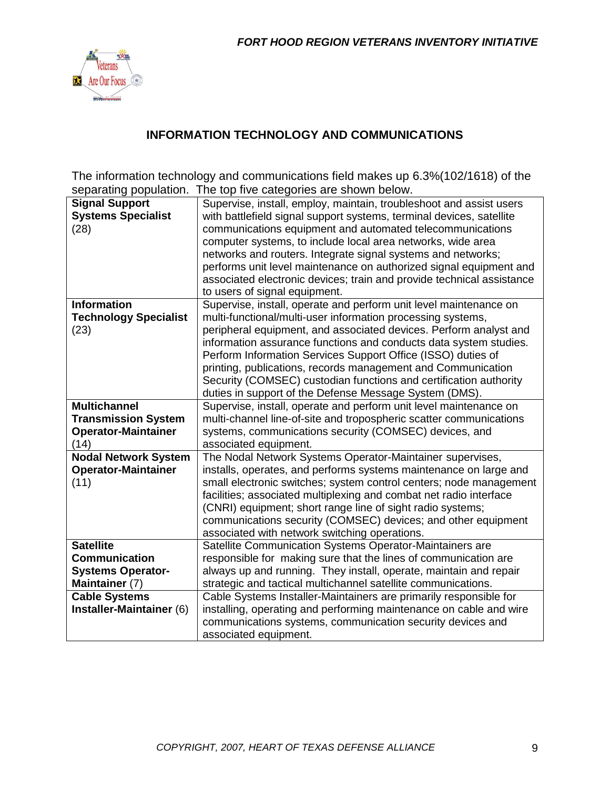

#### **INFORMATION TECHNOLOGY AND COMMUNICATIONS**

The information technology and communications field makes up 6.3%(102/1618) of the separating population. The top five categories are shown below.

| <b>Signal Support</b>        | Supervise, install, employ, maintain, troubleshoot and assist users   |
|------------------------------|-----------------------------------------------------------------------|
| <b>Systems Specialist</b>    | with battlefield signal support systems, terminal devices, satellite  |
| (28)                         | communications equipment and automated telecommunications             |
|                              | computer systems, to include local area networks, wide area           |
|                              | networks and routers. Integrate signal systems and networks;          |
|                              | performs unit level maintenance on authorized signal equipment and    |
|                              | associated electronic devices; train and provide technical assistance |
|                              | to users of signal equipment.                                         |
| <b>Information</b>           | Supervise, install, operate and perform unit level maintenance on     |
| <b>Technology Specialist</b> | multi-functional/multi-user information processing systems,           |
| (23)                         | peripheral equipment, and associated devices. Perform analyst and     |
|                              | information assurance functions and conducts data system studies.     |
|                              | Perform Information Services Support Office (ISSO) duties of          |
|                              | printing, publications, records management and Communication          |
|                              | Security (COMSEC) custodian functions and certification authority     |
|                              | duties in support of the Defense Message System (DMS).                |
| <b>Multichannel</b>          | Supervise, install, operate and perform unit level maintenance on     |
| <b>Transmission System</b>   | multi-channel line-of-site and tropospheric scatter communications    |
|                              |                                                                       |
| <b>Operator-Maintainer</b>   | systems, communications security (COMSEC) devices, and                |
| (14)                         | associated equipment.                                                 |
| <b>Nodal Network System</b>  | The Nodal Network Systems Operator-Maintainer supervises,             |
| <b>Operator-Maintainer</b>   | installs, operates, and performs systems maintenance on large and     |
| (11)                         | small electronic switches; system control centers; node management    |
|                              | facilities; associated multiplexing and combat net radio interface    |
|                              | (CNRI) equipment; short range line of sight radio systems;            |
|                              | communications security (COMSEC) devices; and other equipment         |
|                              | associated with network switching operations.                         |
| <b>Satellite</b>             | Satellite Communication Systems Operator-Maintainers are              |
| <b>Communication</b>         | responsible for making sure that the lines of communication are       |
| <b>Systems Operator-</b>     | always up and running. They install, operate, maintain and repair     |
| Maintainer (7)               | strategic and tactical multichannel satellite communications.         |
| <b>Cable Systems</b>         | Cable Systems Installer-Maintainers are primarily responsible for     |
| Installer-Maintainer (6)     | installing, operating and performing maintenance on cable and wire    |
|                              | communications systems, communication security devices and            |
|                              | associated equipment.                                                 |
|                              |                                                                       |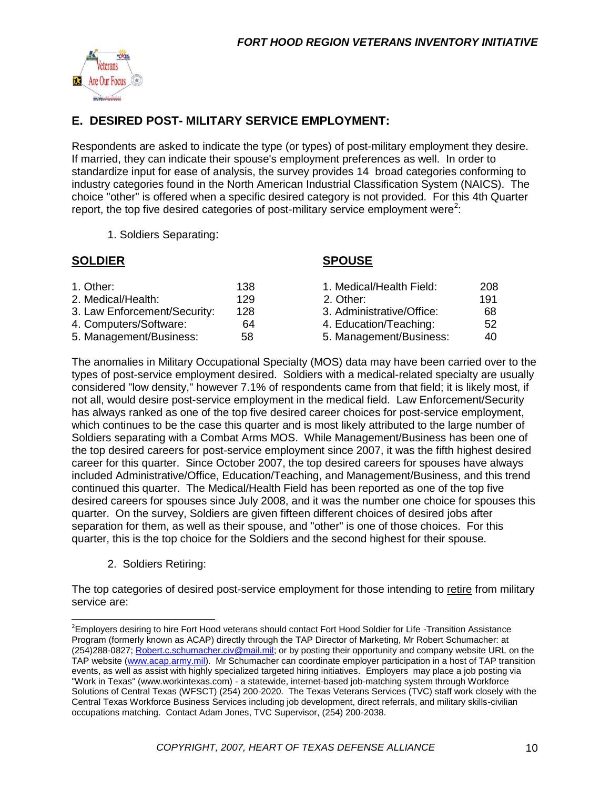

#### **E. DESIRED POST- MILITARY SERVICE EMPLOYMENT:**

Respondents are asked to indicate the type (or types) of post-military employment they desire. If married, they can indicate their spouse's employment preferences as well. In order to standardize input for ease of analysis, the survey provides 14 broad categories conforming to industry categories found in the North American Industrial Classification System (NAICS). The choice "other" is offered when a specific desired category is not provided. For this 4th Quarter report, the top five desired categories of post-military service employment were<sup>2</sup>:

1. Soldiers Separating:

#### **SOLDIER SPOUSE**

| 1. Other:                    | 138 | 1. Medical/Health Field:  | 208 |
|------------------------------|-----|---------------------------|-----|
| 2. Medical/Health:           | 129 | 2. Other:                 | 191 |
| 3. Law Enforcement/Security: | 128 | 3. Administrative/Office: | 68  |
| 4. Computers/Software:       | 64  | 4. Education/Teaching:    | 52  |
| 5. Management/Business:      | 58  | 5. Management/Business:   | 40  |

The anomalies in Military Occupational Specialty (MOS) data may have been carried over to the types of post-service employment desired. Soldiers with a medical-related specialty are usually considered "low density," however 7.1% of respondents came from that field; it is likely most, if not all, would desire post-service employment in the medical field. Law Enforcement/Security has always ranked as one of the top five desired career choices for post-service employment, which continues to be the case this quarter and is most likely attributed to the large number of Soldiers separating with a Combat Arms MOS. While Management/Business has been one of the top desired careers for post-service employment since 2007, it was the fifth highest desired career for this quarter. Since October 2007, the top desired careers for spouses have always included Administrative/Office, Education/Teaching, and Management/Business, and this trend continued this quarter. The Medical/Health Field has been reported as one of the top five desired careers for spouses since July 2008, and it was the number one choice for spouses this quarter. On the survey, Soldiers are given fifteen different choices of desired jobs after separation for them, as well as their spouse, and "other" is one of those choices. For this quarter, this is the top choice for the Soldiers and the second highest for their spouse.

2. Soldiers Retiring:

The top categories of desired post-service employment for those intending to retire from military service are:

<sup>&</sup>lt;sup>2</sup>Employers desiring to hire Fort Hood veterans should contact Fort Hood Soldier for Life -Transition Assistance Program (formerly known as ACAP) directly through the TAP Director of Marketing, Mr Robert Schumacher: at (254)288-0827; [Robert.c.schumacher.civ@mail.mil;](mailto:Robert.c.schumacher.civ@mail.mil) or by posting their opportunity and company website URL on the TAP website [\(www.acap.army.mil\)](http://www.acap.army.mil/). Mr Schumacher can coordinate employer participation in a host of TAP transition events, as well as assist with highly specialized targeted hiring initiatives. Employers may place a job posting via "Work in Texas" (www.workintexas.com) - a statewide, internet-based job-matching system through Workforce Solutions of Central Texas (WFSCT) (254) 200-2020. The Texas Veterans Services (TVC) staff work closely with the Central Texas Workforce Business Services including job development, direct referrals, and military skills-civilian occupations matching. Contact Adam Jones, TVC Supervisor, (254) 200-2038.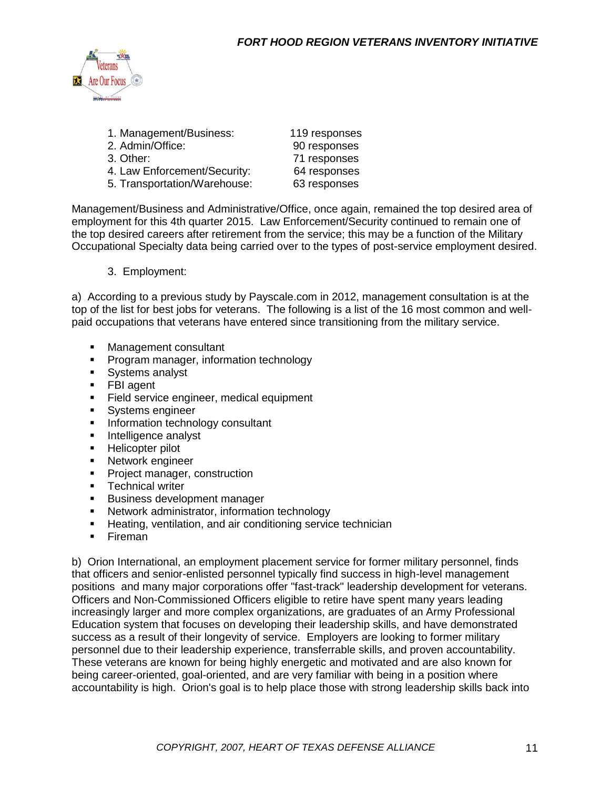

| 1. Management/Business:      | 119 responses |
|------------------------------|---------------|
| 2. Admin/Office:             | 90 responses  |
| 3. Other:                    | 71 responses  |
| 4. Law Enforcement/Security: | 64 responses  |
| 5. Transportation/Warehouse: | 63 responses  |
|                              |               |

Management/Business and Administrative/Office, once again, remained the top desired area of employment for this 4th quarter 2015. Law Enforcement/Security continued to remain one of the top desired careers after retirement from the service; this may be a function of the Military Occupational Specialty data being carried over to the types of post-service employment desired.

#### 3. Employment:

a) According to a previous study by Payscale.com in 2012, management consultation is at the top of the list for best jobs for veterans. The following is a list of the 16 most common and wellpaid occupations that veterans have entered since transitioning from the military service.

- **Management consultant**
- **Program manager, information technology**
- **Systems analyst**
- FBI agent
- Field service engineer, medical equipment<br>• Systems engineer
- Systems engineer
- **Information technology consultant**
- **Intelligence analyst**
- **Helicopter pilot**
- **Network engineer**
- Project manager, construction
- **Technical writer**
- **Business development manager**
- **Network administrator, information technology**
- **Heating, ventilation, and air conditioning service technician**
- **Fireman**

b) Orion International, an employment placement service for former military personnel, finds that officers and senior-enlisted personnel typically find success in high-level management positions and many major corporations offer "fast-track" leadership development for veterans. Officers and Non-Commissioned Officers eligible to retire have spent many years leading increasingly larger and more complex organizations, are graduates of an Army Professional Education system that focuses on developing their leadership skills, and have demonstrated success as a result of their longevity of service. Employers are looking to former military personnel due to their leadership experience, transferrable skills, and proven accountability. These veterans are known for being highly energetic and motivated and are also known for being career-oriented, goal-oriented, and are very familiar with being in a position where accountability is high. Orion's goal is to help place those with strong leadership skills back into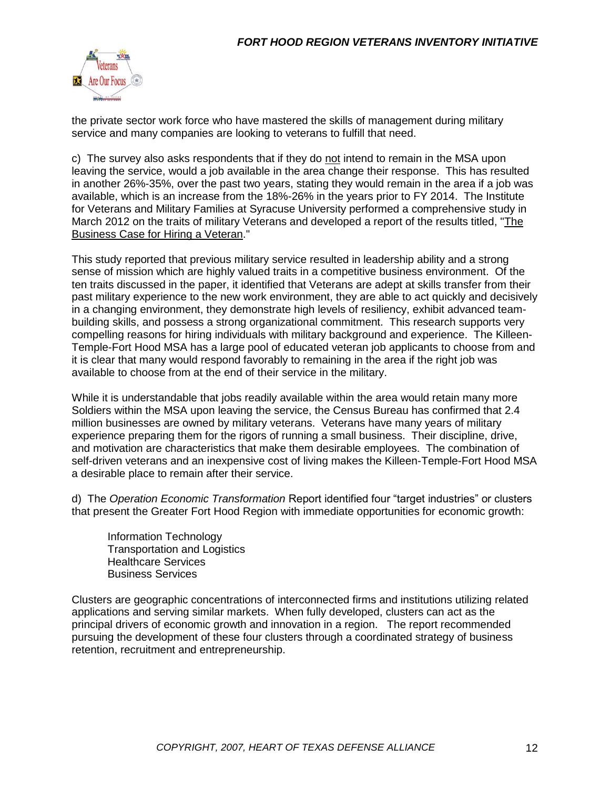

the private sector work force who have mastered the skills of management during military service and many companies are looking to veterans to fulfill that need.

c) The survey also asks respondents that if they do not intend to remain in the MSA upon leaving the service, would a job available in the area change their response. This has resulted in another 26%-35%, over the past two years, stating they would remain in the area if a job was available, which is an increase from the 18%-26% in the years prior to FY 2014. The Institute for Veterans and Military Families at Syracuse University performed a comprehensive study in March 2012 on the traits of military Veterans and developed a report of the results titled, ["The](The%20Business%20Case%20for%20Hiring%20a%20Veteran%203-6-12.pdf)  [Business Case for Hiring a Veteran.](The%20Business%20Case%20for%20Hiring%20a%20Veteran%203-6-12.pdf)"

This study reported that previous military service resulted in leadership ability and a strong sense of mission which are highly valued traits in a competitive business environment. Of the ten traits discussed in the paper, it identified that Veterans are adept at skills transfer from their past military experience to the new work environment, they are able to act quickly and decisively in a changing environment, they demonstrate high levels of resiliency, exhibit advanced teambuilding skills, and possess a strong organizational commitment. This research supports very compelling reasons for hiring individuals with military background and experience. The Killeen-Temple-Fort Hood MSA has a large pool of educated veteran job applicants to choose from and it is clear that many would respond favorably to remaining in the area if the right job was available to choose from at the end of their service in the military.

While it is understandable that jobs readily available within the area would retain many more Soldiers within the MSA upon leaving the service, the Census Bureau has confirmed that 2.4 million businesses are owned by military veterans. Veterans have many years of military experience preparing them for the rigors of running a small business. Their discipline, drive, and motivation are characteristics that make them desirable employees. The combination of self-driven veterans and an inexpensive cost of living makes the Killeen-Temple-Fort Hood MSA a desirable place to remain after their service.

d) The *Operation Economic Transformation* Report identified four "target industries" or clusters that present the Greater Fort Hood Region with immediate opportunities for economic growth:

Information Technology Transportation and Logistics Healthcare Services Business Services

Clusters are geographic concentrations of interconnected firms and institutions utilizing related applications and serving similar markets. When fully developed, clusters can act as the principal drivers of economic growth and innovation in a region. The report recommended pursuing the development of these four clusters through a coordinated strategy of business retention, recruitment and entrepreneurship.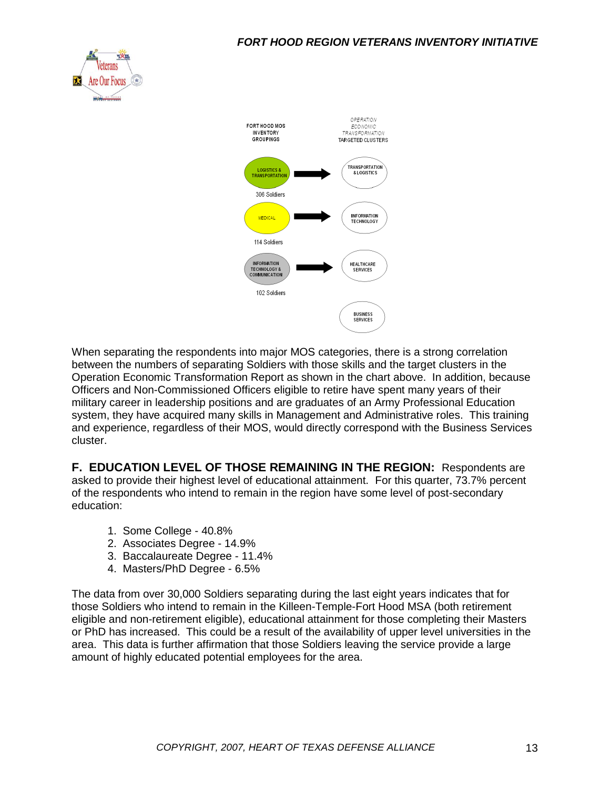



When separating the respondents into major MOS categories, there is a strong correlation between the numbers of separating Soldiers with those skills and the target clusters in the Operation Economic Transformation Report as shown in the chart above. In addition, because Officers and Non-Commissioned Officers eligible to retire have spent many years of their military career in leadership positions and are graduates of an Army Professional Education system, they have acquired many skills in Management and Administrative roles. This training and experience, regardless of their MOS, would directly correspond with the Business Services cluster.

**F. EDUCATION LEVEL OF THOSE REMAINING IN THE REGION:** Respondents are asked to provide their highest level of educational attainment. For this quarter, 73.7% percent of the respondents who intend to remain in the region have some level of post-secondary education:

- 1. Some College 40.8%
- 2. Associates Degree 14.9%
- 3. Baccalaureate Degree 11.4%
- 4. Masters/PhD Degree 6.5%

The data from over 30,000 Soldiers separating during the last eight years indicates that for those Soldiers who intend to remain in the Killeen-Temple-Fort Hood MSA (both retirement eligible and non-retirement eligible), educational attainment for those completing their Masters or PhD has increased. This could be a result of the availability of upper level universities in the area. This data is further affirmation that those Soldiers leaving the service provide a large amount of highly educated potential employees for the area.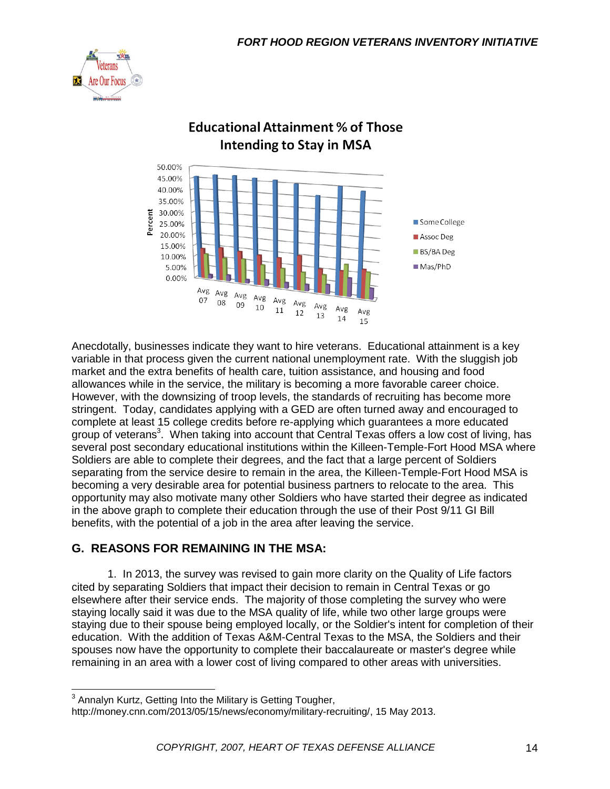



### **Educational Attainment % of Those Intending to Stay in MSA**

Anecdotally, businesses indicate they want to hire veterans. Educational attainment is a key variable in that process given the current national unemployment rate. With the sluggish job market and the extra benefits of health care, tuition assistance, and housing and food allowances while in the service, the military is becoming a more favorable career choice. However, with the downsizing of troop levels, the standards of recruiting has become more stringent. Today, candidates applying with a GED are often turned away and encouraged to complete at least 15 college credits before re-applying which guarantees a more educated group of veterans<sup>3</sup>. When taking into account that Central Texas offers a low cost of living, has several post secondary educational institutions within the Killeen-Temple-Fort Hood MSA where Soldiers are able to complete their degrees, and the fact that a large percent of Soldiers separating from the service desire to remain in the area, the Killeen-Temple-Fort Hood MSA is becoming a very desirable area for potential business partners to relocate to the area. This opportunity may also motivate many other Soldiers who have started their degree as indicated in the above graph to complete their education through the use of their Post 9/11 GI Bill benefits, with the potential of a job in the area after leaving the service.

#### **G. REASONS FOR REMAINING IN THE MSA:**

1. In 2013, the survey was revised to gain more clarity on the Quality of Life factors cited by separating Soldiers that impact their decision to remain in Central Texas or go elsewhere after their service ends. The majority of those completing the survey who were staying locally said it was due to the MSA quality of life, while two other large groups were staying due to their spouse being employed locally, or the Soldier's intent for completion of their education. With the addition of Texas A&M-Central Texas to the MSA, the Soldiers and their spouses now have the opportunity to complete their baccalaureate or master's degree while remaining in an area with a lower cost of living compared to other areas with universities.

 3 Annalyn Kurtz, Getting Into the Military is Getting Tougher,

http://money.cnn.com/2013/05/15/news/economy/military-recruiting/, 15 May 2013.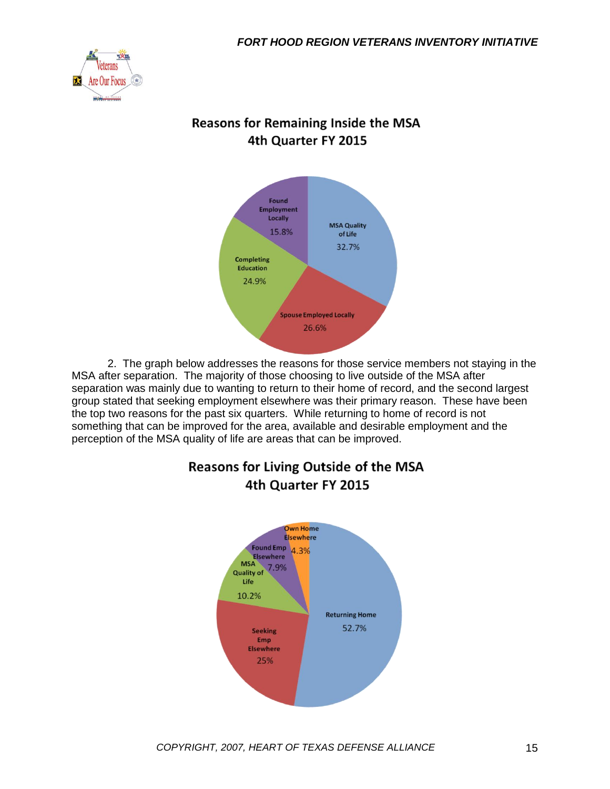

#### **Reasons for Remaining Inside the MSA** 4th Quarter FY 2015



2. The graph below addresses the reasons for those service members not staying in the MSA after separation. The majority of those choosing to live outside of the MSA after separation was mainly due to wanting to return to their home of record, and the second largest group stated that seeking employment elsewhere was their primary reason. These have been the top two reasons for the past six quarters. While returning to home of record is not something that can be improved for the area, available and desirable employment and the perception of the MSA quality of life are areas that can be improved.



### **Reasons for Living Outside of the MSA** 4th Quarter FY 2015